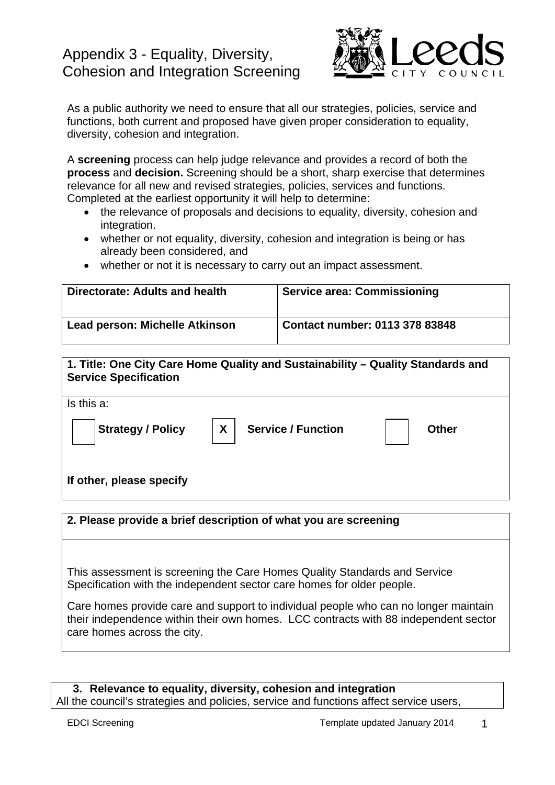# Appendix 3 - Equality, Diversity, Cohesion and Integration Screening



As a public authority we need to ensure that all our strategies, policies, service and functions, both current and proposed have given proper consideration to equality, diversity, cohesion and integration.

A **screening** process can help judge relevance and provides a record of both the **process** and **decision.** Screening should be a short, sharp exercise that determines relevance for all new and revised strategies, policies, services and functions. Completed at the earliest opportunity it will help to determine:

- the relevance of proposals and decisions to equality, diversity, cohesion and integration.
- whether or not equality, diversity, cohesion and integration is being or has already been considered, and
- whether or not it is necessary to carry out an impact assessment.

| Directorate: Adults and health        | <b>Service area: Commissioning</b> |
|---------------------------------------|------------------------------------|
| <b>Lead person: Michelle Atkinson</b> | Contact number: 0113 378 83848     |



## **2. Please provide a brief description of what you are screening**

This assessment is screening the Care Homes Quality Standards and Service Specification with the independent sector care homes for older people.

Care homes provide care and support to individual people who can no longer maintain their independence within their own homes. LCC contracts with 88 independent sector care homes across the city.

### **3. Relevance to equality, diversity, cohesion and integration**  All the council's strategies and policies, service and functions affect service users,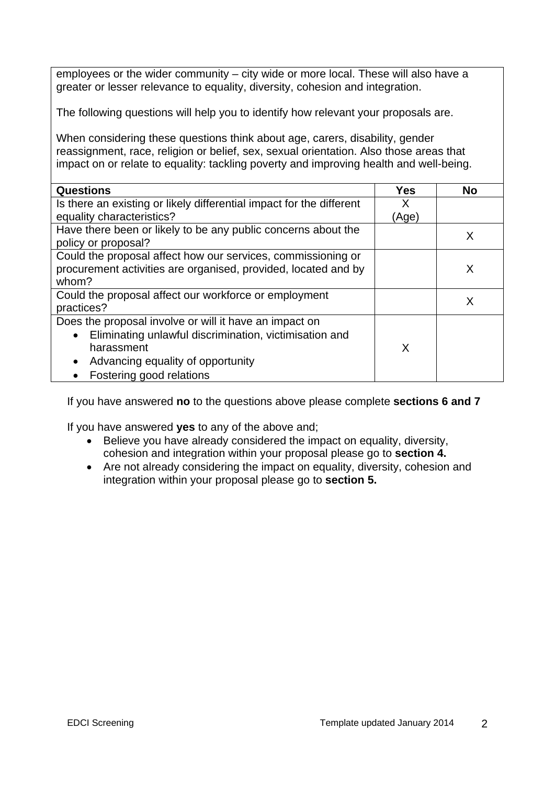employees or the wider community – city wide or more local. These will also have a greater or lesser relevance to equality, diversity, cohesion and integration.

The following questions will help you to identify how relevant your proposals are.

When considering these questions think about age, carers, disability, gender reassignment, race, religion or belief, sex, sexual orientation. Also those areas that impact on or relate to equality: tackling poverty and improving health and well-being.

| <b>Questions</b>                                                     | Yes   | <b>No</b> |
|----------------------------------------------------------------------|-------|-----------|
| Is there an existing or likely differential impact for the different | X     |           |
| equality characteristics?                                            | (Age) |           |
| Have there been or likely to be any public concerns about the        |       | X         |
| policy or proposal?                                                  |       |           |
| Could the proposal affect how our services, commissioning or         |       |           |
| procurement activities are organised, provided, located and by       |       | X         |
| whom?                                                                |       |           |
| Could the proposal affect our workforce or employment                |       | X         |
| practices?                                                           |       |           |
| Does the proposal involve or will it have an impact on               |       |           |
| Eliminating unlawful discrimination, victimisation and<br>$\bullet$  |       |           |
| harassment                                                           | X     |           |
| Advancing equality of opportunity                                    |       |           |
| Fostering good relations                                             |       |           |

If you have answered **no** to the questions above please complete **sections 6 and 7**

If you have answered **yes** to any of the above and;

- Believe you have already considered the impact on equality, diversity, cohesion and integration within your proposal please go to **section 4.**
- Are not already considering the impact on equality, diversity, cohesion and integration within your proposal please go to **section 5.**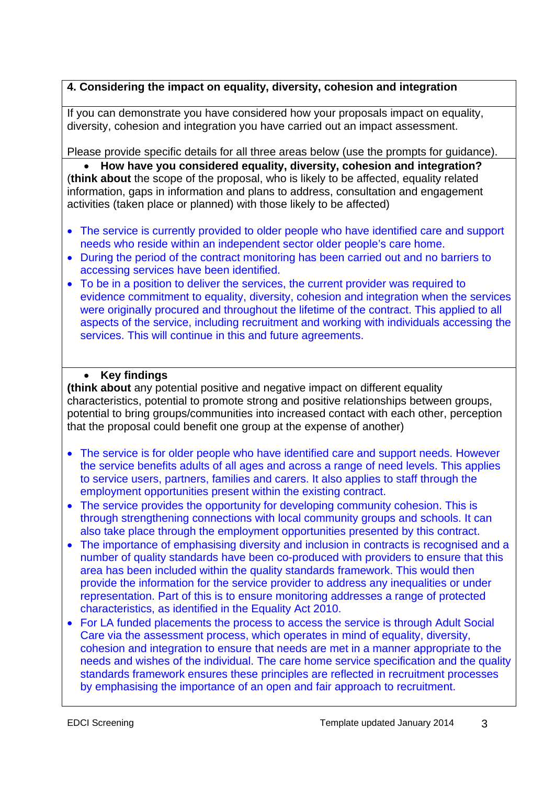# **4. Considering the impact on equality, diversity, cohesion and integration**

If you can demonstrate you have considered how your proposals impact on equality, diversity, cohesion and integration you have carried out an impact assessment.

Please provide specific details for all three areas below (use the prompts for guidance).

 **How have you considered equality, diversity, cohesion and integration?**  (**think about** the scope of the proposal, who is likely to be affected, equality related information, gaps in information and plans to address, consultation and engagement activities (taken place or planned) with those likely to be affected)

- The service is currently provided to older people who have identified care and support needs who reside within an independent sector older people's care home.
- During the period of the contract monitoring has been carried out and no barriers to accessing services have been identified.
- To be in a position to deliver the services, the current provider was required to evidence commitment to equality, diversity, cohesion and integration when the services were originally procured and throughout the lifetime of the contract. This applied to all aspects of the service, including recruitment and working with individuals accessing the services. This will continue in this and future agreements.

## **Key findings**

**(think about** any potential positive and negative impact on different equality characteristics, potential to promote strong and positive relationships between groups, potential to bring groups/communities into increased contact with each other, perception that the proposal could benefit one group at the expense of another)

- The service is for older people who have identified care and support needs. However the service benefits adults of all ages and across a range of need levels. This applies to service users, partners, families and carers. It also applies to staff through the employment opportunities present within the existing contract.
- The service provides the opportunity for developing community cohesion. This is through strengthening connections with local community groups and schools. It can also take place through the employment opportunities presented by this contract.
- The importance of emphasising diversity and inclusion in contracts is recognised and a number of quality standards have been co-produced with providers to ensure that this area has been included within the quality standards framework. This would then provide the information for the service provider to address any inequalities or under representation. Part of this is to ensure monitoring addresses a range of protected characteristics, as identified in the Equality Act 2010.
- For LA funded placements the process to access the service is through Adult Social Care via the assessment process, which operates in mind of equality, diversity, cohesion and integration to ensure that needs are met in a manner appropriate to the needs and wishes of the individual. The care home service specification and the quality standards framework ensures these principles are reflected in recruitment processes by emphasising the importance of an open and fair approach to recruitment.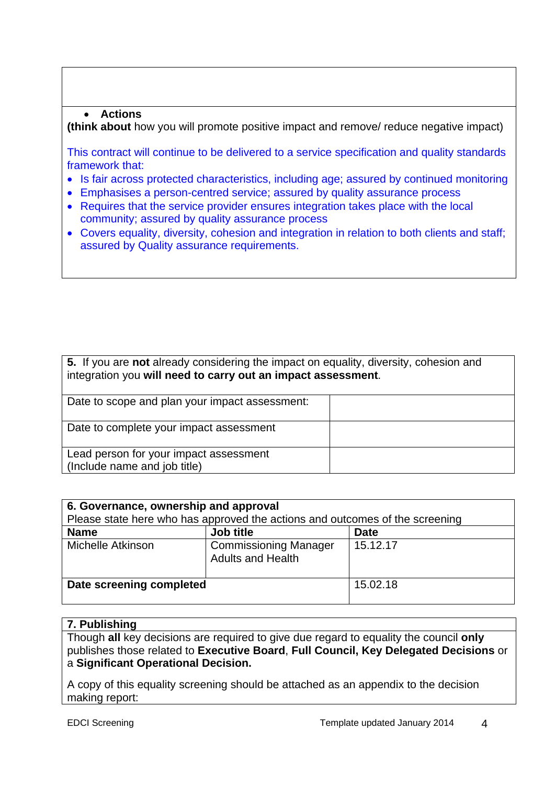#### **Actions**

**(think about** how you will promote positive impact and remove/ reduce negative impact)

This contract will continue to be delivered to a service specification and quality standards framework that:

- Is fair across protected characteristics, including age; assured by continued monitoring
- Emphasises a person-centred service; assured by quality assurance process
- Requires that the service provider ensures integration takes place with the local community; assured by quality assurance process
- Covers equality, diversity, cohesion and integration in relation to both clients and staff; assured by Quality assurance requirements.

| 5. If you are not already considering the impact on equality, diversity, cohesion and<br>integration you will need to carry out an impact assessment. |  |  |
|-------------------------------------------------------------------------------------------------------------------------------------------------------|--|--|
| Date to scope and plan your impact assessment:                                                                                                        |  |  |
| Date to complete your impact assessment                                                                                                               |  |  |
| Lead person for your impact assessment<br>(Include name and job title)                                                                                |  |  |

| 6. Governance, ownership and approval<br>Please state here who has approved the actions and outcomes of the screening |                                                          |             |  |  |
|-----------------------------------------------------------------------------------------------------------------------|----------------------------------------------------------|-------------|--|--|
| <b>Name</b>                                                                                                           | Job title                                                | <b>Date</b> |  |  |
| Michelle Atkinson                                                                                                     | <b>Commissioning Manager</b><br><b>Adults and Health</b> | 15.12.17    |  |  |
| Date screening completed                                                                                              |                                                          | 15.02.18    |  |  |

#### **7. Publishing**

Though **all** key decisions are required to give due regard to equality the council **only** publishes those related to **Executive Board**, **Full Council, Key Delegated Decisions** or a **Significant Operational Decision.**

A copy of this equality screening should be attached as an appendix to the decision making report: